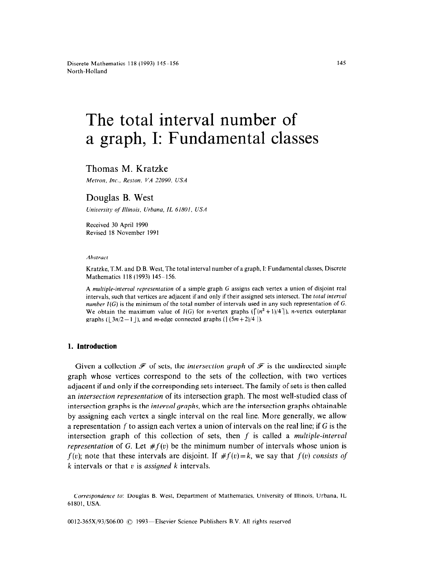# The total interval number of a graph, I: Fundamental classes

# Thomas M. Kratzke

Melron. *Inc., Resron, VA 22090, USA* 

## Douglas B. West

*University of Illinois. Urbana, IL 61801, USA* 

Received 30 April 1990 Revised 18 November 1991

#### *Abstract*

Kratzke, T.M. and D.B. West, The total interval number of a graph, I: Fundamental classes, Discrete Mathematics 118 (1993) 145-156.

A *multiple-interval representation* of a simple graph G assigns each vertex a union of disjoint real intervals, such that vertices are adjacent if and only if their assigned sets intersect. The *total interual number I(G)* is the minimum of the total number of intervals used in any such representation of G. We obtain the maximum value of  $I(G)$  for *n*-vertex graphs ( $\lceil (n^2 + 1)/4 \rceil$ ), *n*-vertex outerplanar graphs ( $\mid 3n/2 - 1 \mid$ ), and *m*-edge connected graphs ( $\mid (5m + 2)/4 \mid$ ).

## **1. Introduction**

Given a collection  $\mathcal F$  of sets, the *intersection graph* of  $\mathcal F$  is the undirected simple graph whose vertices correspond to the sets of the collection, with two vertices adjacent if and only if the corresponding sets intersect. The family of sets is then called an *intersection representation* of its intersection graph. The most well-studied class of intersection graphs is the *interval graphs,* which are the intersection graphs obtainable by assigning each vertex a single interval on the real line. More generally, we allow a representation f to assign each vertex a union of intervals on the real line; if G is the intersection graph of this collection of sets, then f is called a *multiple-interval representation* of G. Let  $#f(v)$  be the minimum number of intervals whose union is  $f(v)$ ; note that these intervals are disjoint. If  $\# f(v) = k$ , we say that  $f(v)$  *consists of k* intervals or that u is *assigned k* intervals.

0012-365X/93/\$06.00 © 1993—Elsevier Science Publishers B.V. All rights reserved

*Correspondence to:* Douglas B. West, Department of Mathematics, University of Illinois, Urbana, IL 61801, USA.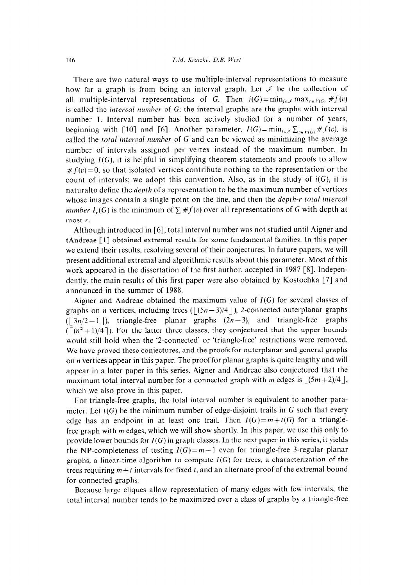There are two natural ways to use multiple-interval representations to measure how far a graph is from being an interval graph. Let  $\mathscr I$  be the collection of all multiple-interval representations of G. Then  $i(G) = min_{f \in \mathcal{F}} max_{\varepsilon \in V(G)} # f(v)$ is called the *interval number* of G; the interval graphs are the graphs with interval number 1. Interval number has been actively studied for a number of years, beginning with [10] and [6]. Another parameter,  $I(G) = \min_{f \in \mathcal{F}} \sum_{v \in V(G)} \# f(v)$ , is called the *total interval number* of G and can be viewed as minimizing the average number of intervals assigned per vertex instead of the maximum number. In studying  $I(G)$ , it is helpful in simplifying theorem statements and proofs to allow  $#f(v)=0$ , so that isolated vertices contribute nothing to the representation or the count of intervals; we adopt this convention. Also, as in the study of  $i(G)$ , it is naturalto define the depth of a representation to be the maximum number of vertices whose images contain a single point on the line, and then the *depth-r total interval number I<sub>r</sub>(G)* is the minimum of  $\sum #f(v)$  over all representations of G with depth at most *r.* 

Although introduced in [6], total interval number was not studied until Aigner and tAndreae [l] obtained extremal results for some fundamental families. In this paper we extend their results, resolving several of their conjectures. In future papers, we will present additional extremal and algorithmic results about this parameter. Most of this work appeared in the dissertation of the first author, accepted in 1987 [S]. Independently, the main results of this first paper were also obtained by Kostochka [7] and announced in the summer of 1988.

Aigner and Andreae obtained the maximum value of  $I(G)$  for several classes of graphs on *n* vertices, including trees ( $\left( (5n-3)/4 \right)$ ), 2-connected outerplanar graphs  $(\lfloor 3n/2 - 1 \rfloor)$ , triangle-free planar graphs  $(2n-3)$ , and triangle-free graphs  $(\lceil (n^2 + 1)/4 \rceil)$ . For the latter three classes, they conjectured that the upper bounds would still hold when the '2-connected' or 'triangle-free' restrictions were removed. We have proved these conjectures, and the proofs for outerplanar and general graphs on *n* vertices appear in this paper. The proof for planar graphs is quite lengthy and will appear in a later paper in this series. Aigner and Andreae also conjectured that the maximum total interval number for a connected graph with *m* edges is  $\lfloor (5m+2)/4 \rfloor$ , which we also prove in this paper.

For triangle-free graphs, the total interval number is equivalent to another parameter. Let  $t(G)$  be the minimum number of edge-disjoint trails in G such that every edge has an endpoint in at least one trail. Then  $I(G)=m+t(G)$  for a trianglefree graph with *m* edges, which we will show shortly. In this paper, we use this only to provide lower bounds for  $I(G)$  in graph classes. In the next paper in this series, it yields the NP-completeness of testing  $I(G)=m+1$  even for triangle-free 3-regular planar graphs, a linear-time algorithm to compute  $I(G)$  for trees, a characterization of the trees requiring  $m + t$  intervals for fixed t, and an alternate proof of the extremal bound for connected graphs.

Because large cliques allow representation of many edges with few intervals, the total interval number tends to be maximized over a class of graphs by a triangle-free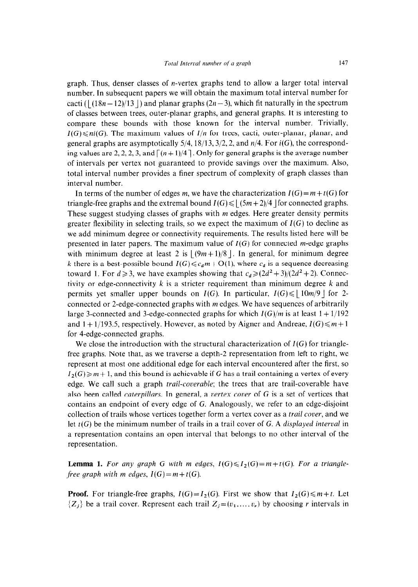graph. Thus, denser classes of n-vertex graphs tend to allow a larger total interval number. In subsequent papers we will obtain the maximum total interval number for cacti ( $\left( \frac{(18n - 12)}{13} \right)$  and planar graphs  $(2n - 3)$ , which fit naturally in the spectrum of classes between trees, outer-planar graphs, and general graphs. It is interesting to compare these bounds with those known for the interval number. Trivially,  $I(G) \leq n_i(G)$ . The maximum values of  $I/n$  for trees, cacti, outer-planar, planar, and general graphs are asymptotically  $5/4$ ,  $18/13$ ,  $3/2$ , 2, and  $n/4$ . For  $i(G)$ , the corresponding values are 2, 2, 2, 3, and  $\lceil (n + 1)/4 \rceil$ . Only for general graphs is the average number of intervals per vertex not guaranteed to provide savings over the maximum. Also, total interval number provides a finer spectrum of complexity of graph classes than interval number.

In terms of the number of edges *m*, we have the characterization  $I(G) = m + t(G)$  for triangle-free graphs and the extremal bound  $I(G) \le |(5m + 2)/4|$  for connected graphs. These suggest studying classes of graphs with *m* edges. Here greater density permits greater flexibility in selecting trails, so we expect the maximum of  $I(G)$  to decline as we add minimum degree or connectivity requirements. The results listed here will be presented in later papers. The maximum value of  $I(G)$  for connected m-edge graphs with minimum degree at least 2 is  $|(9m+1)/8|$ . In general, for minimum degree *k* there is a best-possible bound  $I(G) \leq c_d m + O(1)$ , where  $c_d$  is a sequence decreasing toward 1. For  $d \ge 3$ , we have examples showing that  $c_d \ge (2d^2 + 3)/(2d^2 + 2)$ . Connectivity or edge-connectivity *k* is a stricter requirement than minimum degree *k* and permits yet smaller upper bounds on  $I(G)$ . In particular,  $I(G) \leq |10m/9|$  for 2connected or 2-edge-connected graphs with *m* edges. We have sequences of arbitrarily large 3-connected and 3-edge-connected graphs for which  $I(G)/m$  is at least  $1 + 1/192$ and  $1 + 1/193.5$ , respectively. However, as noted by Aigner and Andreae,  $I(G) \leq m+1$ for 4-edge-connected graphs.

We close the introduction with the structural characterization of  $I(G)$  for trianglefree graphs. Note that, as we traverse a depth-2 representation from left to right, we represent at most one additional edge for each interval encountered after the first, so  $I_2(G) \geq m+1$ , and this bound is achievable if G has a trail containing a vertex of every edge. We call such a graph *trail-coverable;* the trees that are trail-coverable have also been called *caterpillars.* In general, a *vertex cover* of G is a set of vertices that contains an endpoint of every edge of G. Analogously, we refer to an edge-disjoint collection of trails whose vertices together form a vertex cover as a *trail cover,* and we let t(G) be the minimum number of trails in a trail cover of G. A *displayed interval* in a representation contains an open interval that belongs to no other interval of the representation.

**Lemma 1.** For any graph G with m edges,  $I(G) \leq I_2(G) = m + t(G)$ . For a triangle*free graph with m edges,*  $I(G)=m+t(G)$ .

**Proof.** For triangle-free graphs,  $I(G) = I_2(G)$ . First we show that  $I_2(G) \le m + t$ . Let  $\{Z_j\}$  be a trail cover. Represent each trail  $Z_j=(v_1, \ldots, v_r)$  by choosing *r* intervals in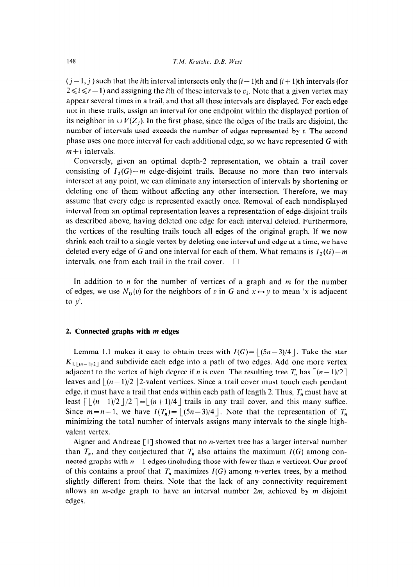$(j-1, j)$  such that the *i*th interval intersects only the  $(i-1)$ th and  $(i+1)$ th intervals (for  $2 \le i \le r - 1$ ) and assigning the *i*th of these intervals to  $v_i$ . Note that a given vertex may appear several times in a trail, and that all these intervals are displayed. For each edge not in these trails, assign an interval for one endpoint within the displayed portion of its neighbor in  $\cup V(Z_i)$ . In the first phase, since the edges of the trails are disjoint, the number of intervals used exceeds the number of edges represented by t. The second phase uses one more interval for each additional edge, so we have represented G with  $m + t$  intervals.

Conversely, given an optimal depth-2 representation, we obtain a trail cover consisting of  $I_2(G)-m$  edge-disjoint trails. Because no more than two intervals intersect at any point, we can eliminate any intersection of intervals by shortening or deleting one of them without affecting any other intersection. Therefore, we may assume that every edge is represented exactly once. Removal of each nondisplayed interval from an optimal representation leaves a representation of edge-disjoint trails as described above, having deleted one edge for each interval deleted. Furthermore, the vertices of the resulting trails touch all edges of the original graph. If we now shrink each trail to a single vertex by deleting one interval and edge at a time, we have deleted every edge of G and one interval for each of them. What remains is  $I_2(G) - m$ intervals, one from each trail in the trail cover.  $\Box$ 

In addition to n for the number of vertices of a graph and *m* for the number of edges, we use  $N_G(v)$  for the neighbors of v in G and  $x \leftrightarrow y$  to mean 'x is adjacent to  $y'$ .

#### 2. **Connected graphs with** *m* **edges**

Lemma 1.1 makes it easy to obtain trees with  $I(G)= |(5n-3)/4|$ . Take the star  $K_{1,1}(n-1)/2+1$  and subdivide each edge into a path of two edges. Add one more vertex adjacent to the vertex of high degree if *n* is even. The resulting tree  $T_n$  has  $\lceil (n-1)/2 \rceil$ leaves and  $|(n - 1)/2|$  2-valent vertices. Since a trail cover must touch each pendant edge, it must have a trail that ends within each path of length 2. Thus, *T,* must have at least  $\lceil (n-1)/2 \rceil$  /2  $\lceil (n+1)/4 \rceil$  trails in any trail cover, and this many suffice. Since  $m=n-1$ , we have  $I(T_n)=$   $|(5n-3)/4|$ . Note that the representation of  $T_n$ minimizing the total number of intervals assigns many intervals to the single highvalent vertex.

Aigner and Andreae [l] showed that no n-vertex tree has a larger interval number than  $T_n$ , and they conjectured that  $T_n$  also attains the maximum  $I(G)$  among connected graphs with *n -* 1 edges (including those with fewer than *n* vertices). Our proof of this contains a proof that  $T_n$  maximizes  $I(G)$  among *n*-vertex trees, by a method slightly different from theirs. Note that the lack of any connectivity requirement allows an m-edge graph to have an interval number *2m,* achieved by *m* disjoint edges.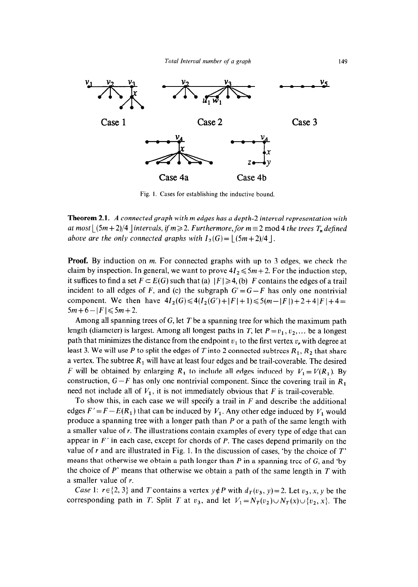

Fig. I. Cases for establishing the inductive bound.

**Theorem 2.1.** *A connected graph with m edges has a depth-2 interval representation with at most*  $|\frac{(5m+2)}{4}|$  *intervals, if m*  $\geq$  2. Furthermore, for m  $\equiv$  2 mod 4 *the trees T<sub>n</sub>* defined *above are the only connected graphs with*  $I_2(G) = |(5m+2)/4|$ .

**Proof.** By induction on *m.* For connected graphs with up to 3 edges, we check the claim by inspection. In general, we want to prove  $4I_2 \leq 5m + 2$ . For the induction step, it suffices to find a set  $F \subset E(G)$  such that (a)  $|F| \ge 4$ , (b) *F* contains the edges of a trail incident to all edges of *F*, and (c) the subgraph  $G' = G - F$  has only one nontrivial component. We then have  $4I_2(G) \leq 4(I_2(G')+|F|+1) \leq 5(m-|F|)+2+4|F|+4=$  $5m+6-|F| \le 5m+2$ .

Among all spanning trees of G, let *T* be a spanning tree for which the maximum path length (diameter) is largest. Among all longest paths in *T*, let  $P = v_1, v_2, ...$  be a longest path that minimizes the distance from the endpoint  $v_1$  to the first vertex  $v_r$ , with degree at least 3. We will use  $P$  to split the edges of  $T$  into 2 connected subtrees  $R_1, R_2$  that share a vertex. The subtree  $R_1$  will have at least four edges and be trail-coverable. The desired *F* will be obtained by enlarging  $R_1$  to include all edges induced by  $V_1 = V(R_1)$ . By construction,  $G - F$  has only one nontrivial component. Since the covering trail in  $R_1$ need not include all of  $V_1$ , it is not immediately obvious that *F* is trail-coverable.

To show this, in each case we will specify a trail in *F* and describe the additional edges  $F' = F - E(R_1)$  that can be induced by  $V_1$ . Any other edge induced by  $V_1$  would produce a spanning tree with a longer path than P or a path of the same length with a smaller value of *r.* The illustrations contain examples of every type of edge that can appear in *F'* in each case, except for chords of P. The cases depend primarily on the value of *r* and are illustrated in Fig. 1. In the discussion of cases, 'by the choice of *T'*  means that otherwise we obtain a path longer than  $P$  in a spanning tree of  $G$ , and 'by the choice of *P'* means that otherwise we obtain a path of the same length in *T* with a smaller value of *r.* 

*Case* 1:  $r \in \{2, 3\}$  and *T* contains a vertex  $y \notin P$  with  $d_T(v_3, y) = 2$ . Let  $v_3, x, y$  be the corresponding path in *T*. Split *T* at  $v_3$ , and let  $V_1 = N_T(v_2) \cup N_T(x) \cup \{v_2, x\}$ . The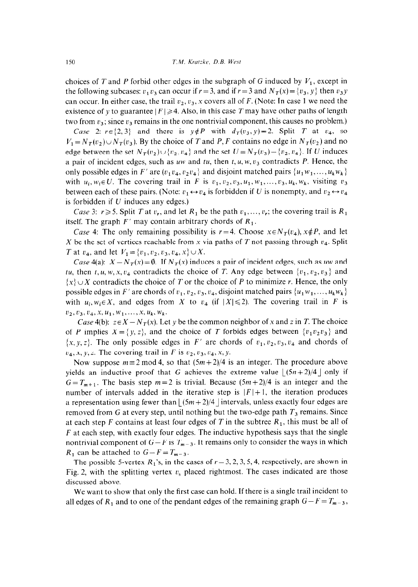choices of *T* and *P* forbid other edges in the subgraph of G induced by  $V_1$ , except in the following subcases:  $v_1 v_3$  can occur if  $r = 3$ , and if  $r = 3$  and  $N<sub>T</sub>(x) = {v<sub>3</sub>, y}$  then  $v_3 y$ can occur. In either case, the trail  $v_2, v_3, x$  covers all of F. (Note: In case 1 we need the existence of y to guarantee  $|F| \ge 4$ . Also, in this case T may have other paths of length two from  $v_3$ ; since  $v_3$  remains in the one nontrivial component, this causes no problem.)

Case 2:  $r \in \{2,3\}$  and there is  $y \notin P$  with  $d_T(v_3, y)=2$ . Split *T* at  $v_4$ , so  $V_1 = N_T(v_2) \cup N_T(v_3)$ . By the choice of *T* and *P*, *F* contains no edge in  $N_T(v_2)$  and no edge between the set  $N_T(v_2) \cup \{v_2, v_4\}$  and the set  $U = N_T(v_3) - \{v_2, v_4\}$ . If U induces a pair of incident edges, such as uw and tu, then  $t, u, w, v<sub>3</sub>$  contradicts  $P$ . Hence, the only possible edges in *F'* are  $(v_1 v_4, v_2 v_4)$  and disjoint matched pairs  $\{u_1 w_1, \ldots, u_k w_k\}$ with  $u_i, w_i \in U$ . The covering trail in *F* is  $v_1, v_2, v_3, u_1, w_1, \ldots, v_3, u_k, w_k$ , visiting  $v_3$ between each of these pairs. (Note:  $v_1 \leftrightarrow v_4$  is forbidden if U is nonempty, and  $v_2 \leftrightarrow v_4$ is forbidden if  $U$  induces any edges.)

*Case* 3:  $r \ge 5$ . Split *T* at  $v_r$ , and let  $R_1$  be the path  $v_1, \ldots, v_r$ ; the covering trail is  $R_1$ itself. The graph  $F'$  may contain arbitrary chords of  $R_1$ .

*Case* 4: The only remaining possibility is  $r=4$ . Choose  $x \in N_T(v_4)$ ,  $x \notin P$ , and let X be the set of vertices reachable from x via paths of T not passing through  $v_4$ . Split *T* at  $v_4$ , and let  $V_1 = \{v_1, v_2, v_3, v_4, x\} \cup X$ .

Case 4(a):  $X - N_T(x) = \emptyset$ . If  $N_T(x)$  induces a pair of incident edges, such as uw and *tu*, then t, u, w, x,  $v_4$  contradicts the choice of *T*. Any edge between  $\{v_1, v_2, v_3\}$  and  $\{x\} \cup X$  contradicts the choice of *T* or the choice of *P* to minimize *r*. Hence, the only possible edges in *F'* are chords of  $v_1, v_2, v_3, v_4$ , disjoint matched pairs  $\{u_1w_1, \ldots, u_kw_k\}$ with  $u_i, w_i \in X$ , and edges from X to  $v_4$  (if  $|X| \le 2$ ). The covering trail in F is  $v_2, v_3, v_4, x, u_1, w_1, \ldots, x, u_k, w_k.$ 

*Case* 4(b):  $z \in X - N_T(x)$ . Let y be the common neighbor of x and z in *T*. The choice of *P* implies  $X = \{y, z\}$ , and the choice of *T* forbids edges between  $\{v_1v_2v_3\}$  and  $\{x, y, z\}$ . The only possible edges in *F'* are chords of  $v_1, v_2, v_3, v_4$  and chords of  $v_4$ , x, y, z. The covering trail in *F* is  $v_2$ ,  $v_3$ ,  $v_4$ , x, y.

Now suppose  $m \equiv 2 \mod 4$ , so that  $(5m + 2)/4$  is an integer. The procedure above yields an inductive proof that G achieves the extreme value  $\lfloor (5n+2)/4 \rfloor$  only if  $G=T_{m+1}$ . The basis step  $m=2$  is trivial. Because  $(5m+2)/4$  is an integer and the number of intervals added in the iterative step is  $|F|+1$ , the iteration produces a representation using fewer than  $\left| \frac{(5m+2)}{4} \right|$  intervals, unless exactly four edges are removed from G at every step, until nothing but the two-edge path  $T_3$  remains. Since at each step  $F$  contains at least four edges of  $T$  in the subtree  $R_1$ , this must be all of *F* at each step, with exactly four edges. The inductive hypothesis says that the single nontrivial component of  $G-F$  is  $T_{m-3}$ . It remains only to consider the ways in which  $R_1$  can be attached to  $G-F=T_{m-3}$ .

The possible 5-vertex  $R_1$ 's, in the cases of  $r = 3, 2, 3, 5, 4$ , respectively, are shown in Fig. 2, with the splitting vertex  $v_s$  placed rightmost. The cases indicated are those discussed above.

We want to show that only the first case can hold. If there is a single trail incident to all edges of  $R_1$  and to one of the pendant edges of the remaining graph  $G-F = T_{m-3}$ ,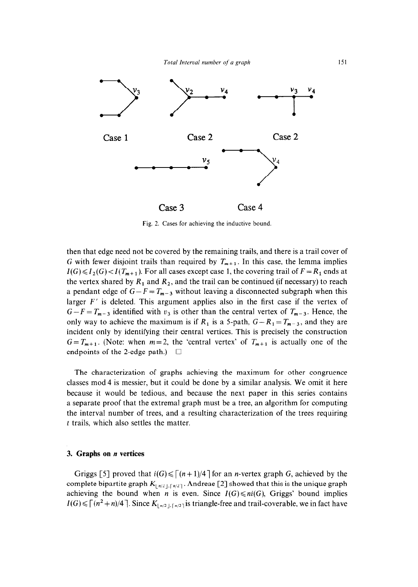

Fig. 2. Cases for achieving the inductive bound.

then that edge need not be covered by the remaining trails, and there is a trail cover of G with fewer disjoint trails than required by  $T_{m+1}$ . In this case, the lemma implies  $I(G) \leq I_2(G) < I(T_{m+1})$ . For all cases except case 1, the covering trail of  $F = R_1$  ends at the vertex shared by  $R_1$  and  $R_2$ , and the trail can be continued (if necessary) to reach a pendant edge of  $G-F = T_{m-3}$  without leaving a disconnected subgraph when this larger *F'* is deleted. This argument applies also in the first case if the vertex of  $G-F = T_{m-3}$  identified with  $v_3$  is other than the central vertex of  $T_{m-3}$ . Hence, the only way to achieve the maximum is if  $R_1$  is a 5-path,  $G - R_1 = T_{m-3}$ , and they are incident only by identifying their central vertices. This is precisely the construction  $G=T_{m+1}$ . (Note: when  $m=2$ , the 'central vertex' of  $T_{m+1}$  is actually one of the endpoints of the 2-edge path.)  $\square$ 

The characterization of graphs achieving the maximum for other congruence classes mod 4 is messier, but it could be done by a similar analysis. We omit it here because it would be tedious, and because the next paper in this series contains a separate proof that the extremal graph must be a tree, an algorithm for computing the interval number of trees, and a resulting characterization of the trees requiring t trails, which also settles the matter.

#### 3, **Graphs on n vertices**

Griggs [5] proved that  $i(G) \leq (n + 1)/4$  for an *n*-vertex graph G, achieved by the complete bipartite graph  $K_{\lfloor n/2 \rfloor,\lceil n/2 \rceil}$ . Andreae [2] showed that this is the unique graph achieving the bound when *n* is even. Since  $I(G) \leq ni(G)$ , Griggs' bound implies  $I(G) \leq \lceil (n^2+n)/4 \rceil$ . Since  $K_{\lfloor n/2 \rfloor, \lceil n/2 \rceil}$  is triangle-free and trail-coverable, we in fact have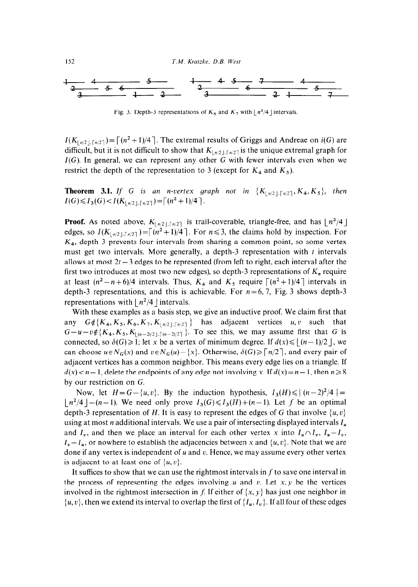152 *T.M. Krarzke. D.B. West* 



Fig. 3. Depth-3 representations of  $K_6$  and  $K_7$  with  $\lfloor n^2/4 \rfloor$  intervals.

 $I(K_{\lfloor n/2 \rfloor, \lceil n/2 \rceil}) = \lceil (n^2 + 1)/4 \rceil$ . The extremal results of Griggs and Andreae on  $i(G)$  are difficult, but it is not difficult to show that  $K_{\lfloor n/2 \rfloor, \lceil n/2 \rceil}$  is the unique extremal graph for  $I(G)$ . In general, we can represent any other G with fewer intervals even when we restrict the depth of the representation to 3 (except for  $K_4$  and  $K_5$ ).

**Theorem 3.1.** If G is an *n*-vertex graph not in  $\{K_{\lfloor n/2 \rfloor, \lceil n/2 \rceil}, K_4, K_5\}$ , then  $I(G)\leq I_3(G) < I(K_{\lfloor n/2 \rfloor,\lceil n/2 \rceil})=\lceil (n^2+1)/4 \rceil.$ 

**Proof.** As noted above,  $K_{\lfloor n/2 \rfloor, \lceil n/2 \rceil}$  is trail-coverable, triangle-free, and has  $\lfloor n^2/4 \rfloor$ edges, so  $I(K_{\lfloor n/2 \rfloor,\lceil n/2 \rceil}) = \lceil (n^2 + 1)/4 \rceil$ . For  $n \leq 3$ , the claims hold by inspection. For *K,,* depth 3 prevents four intervals from sharing a common point, so some vertex must get two intervals. More generally, a depth-3 representation with  $t$  intervals allows at most  $2t - 3$  edges to be represented (from left to right, each interval after the first two introduces at most two new edges), so depth-3 representations of  $K_n$  require at least  $(n^2-n+6)/4$  intervals. Thus,  $K_4$  and  $K_5$  require  $\lceil (n^2+1)/4 \rceil$  intervals in depth-3 representations, and this is achievable. For  $n=6,7$ , Fig. 3 shows depth-3 representations with  $\lfloor n^2/4 \rfloor$  intervals.

With these examples as a basis step, we give an inductive proof. We claim first that any  $G \notin \{K_4, K_5, K_6, K_7, K_{\lfloor n/2 \rfloor, \lceil n/2 \rceil} \}$  has adjacent vertices  $u, v$  such that  $G-u-v\neq {K_4, K_5, K_{\lfloor (n-2)/2 \rfloor, \lceil (n-2)/2 \rceil}}$ . To see this, we may assume first that G is connected, so  $\delta(G) \geq 1$ ; let x be a vertex of minimum degree. If  $d(x) \leq (n-1)/2$ , we can choose  $u \in N_G(x)$  and  $v \in N_G(u) - \{x\}$ . Otherwise,  $\delta(G) \ge \lceil n/2 \rceil$ , and every pair of adjacent vertices has a common neighbor. This means every edge lies on a triangle. If  $d(x) < n-1$ , delete the endpoints of any edge not involving x. If  $d(x) = n-1$ , then  $n \ge 8$ by our restriction on G.

Now, let  $H = G - \{u, v\}$ . By the induction hypothesis,  $I_3(H) \le |(n-2)^2/4|$  =  $|n^2/4| - (n-1)$ . We need only prove  $I_3(G) \leq I_3(H) + (n-1)$ . Let f be an optimal depth-3 representation of *H*. It is easy to represent the edges of G that involve  $\{u, v\}$ using at most *n* additional intervals. We use a pair of intersecting displayed intervals  $I_u$ and  $I_v$ , and then we place an interval for each other vertex x into  $I_u \cap I_v$ ,  $I_u - I_v$ ,  $I_v - I_u$ , or nowhere to establish the adjacencies between x and  $\{u, v\}$ . Note that we are done if any vertex is independent of  $u$  and  $v$ . Hence, we may assume every other vertex is adjacent to at least one of  $\{u, v\}$ .

It suffices to show that we can use the rightmost intervals in  $f$  to save one interval in the process of representing the edges involving u and v. Let  $x, y$  be the vertices involved in the rightmost intersection in f. If either of  $\{x, y\}$  has just one neighbor in  $\{u, v\}$ , then we extend its interval to overlap the first of  $\{I_u, I_v\}$ . If all four of these edges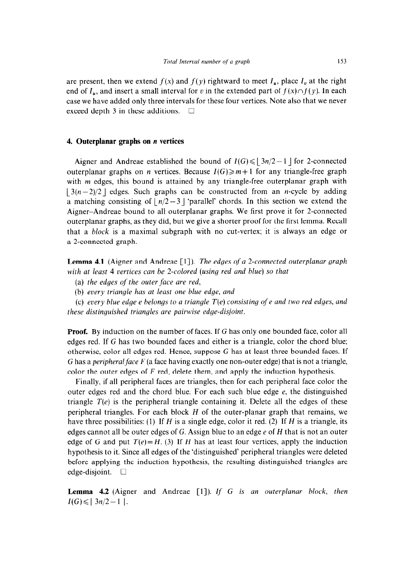are present, then we extend  $f(x)$  and  $f(y)$  rightward to meet  $I_u$ , place  $I_v$  at the right end of  $I_u$ , and insert a small interval for v in the extended part of  $f(x) \cap f(y)$ . In each case we have added only three intervals for these four vertices. Note also that we never exceed depth 3 in these additions.  $\Box$ 

## 4. **Outerplanar graphs on n vertices**

Aigner and Andreae established the bound of  $I(G) \leq |3n/2-1|$  for 2-connected outerplanar graphs on *n* vertices. Because  $I(G) \ge m+1$  for any triangle-free graph with *m* edges, this bound is attained by any triangle-free outerplanar graph with  $|3(n-2)/2|$  edges. Such graphs can be constructed from an *n*-cycle by adding a matching consisting of  $|n/2-3|$  'parallel' chords. In this section we extend the Aigner-Andreae bound to all outerplanar graphs. We first prove it for 2-connected outerplanar graphs, as they did, but we give a shorter proof for the first lemma. Recall that a *block* is a maximal subgraph with no cut-vertex; it is always an edge or a 2-connected graph.

**Lemma 4.1** (Aigner and Andreae [1]). *The edges of a 2-connected outerplanar graph with at least 4 vertices can be 2-colored (using red and blue) so that* 

(a) *the edges of the outer face are red,* 

(b) every *triangle has at least one blue edge, and* 

*(c) every blue edge e belongs to a triangle T(e) consisting of e and two red edges, and these distinguished triangles are pairwise edge-disjoint.* 

**Proof.** By induction on the number of faces. If G has only one bounded face, color all edges red. If G has two bounded faces and either is a triangle, color the chord blue; otherwise, color all edges red. Hence, suppose G has at least three bounded faces. If G has a *peripheralface F* (a face having exactly one non-outer edge) that is not a triangle, color the outer edges of  $F$  red, delete them, and apply the induction hypothesis.

Finally, if all peripheral faces are triangles, then for each peripheral face color the outer edges red and the chord blue. For each such blue edge  $e$ , the distinguished triangle  $T(e)$  is the peripheral triangle containing it. Delete all the edges of these peripheral triangles. For each block *H* of the outer-planar graph that remains, we have three possibilities: (1) If *H* is a single edge, color it red. (2) If *H* is a triangle, its edges cannot all be outer edges of G. Assign blue to an edge e of *H* that is not an outer edge of G and put  $T(e) = H$ . (3) If *H* has at least four vertices, apply the induction hypothesis to it. Since all edges of the 'distinguished' peripheral triangles were deleted before applying the induction hypothesis, the resulting distinguished triangles are edge-disjoint.  $\square$ 

Lemma 4.2 (Aigner and Andreae [1]). *If G is an outerplanar block, then*  $I(G) \le |3n/2-1|$ .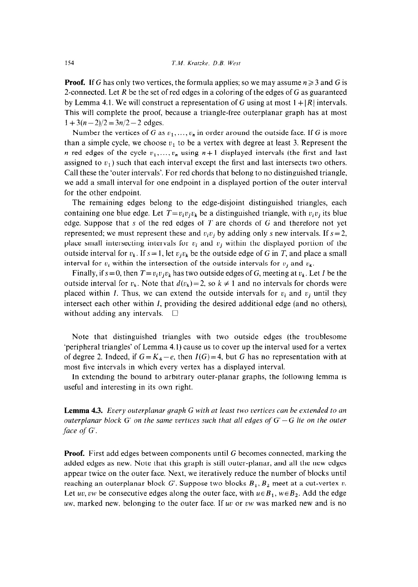**Proof.** If G has only two vertices, the formula applies; so we may assume  $n \geq 3$  and G is 2-connected. Let *R* be the set of red edges in a coloring of the edges of G as guaranteed by Lemma 4.1. We will construct a representation of G using at most  $1 + |R|$  intervals. This will complete the proof, because a triangle-free outerplanar graph has at most  $1+3(n-2)/2=3n/2-2$  edges.

Number the vertices of G as  $v_1, \ldots, v_n$  in order around the outside face. If G is more than a simple cycle, we choose  $v_1$  to be a vertex with degree at least 3. Represent the *n* red edges of the cycle  $v_1, \ldots, v_n$  using  $n+1$  displayed intervals (the first and last assigned to  $v_1$ ) such that each interval except the first and last intersects two others. Call these the 'outer intervals'. For red chords that belong to no distinguished triangle, we add a small interval for one endpoint in a displayed portion of the outer interval for the other endpoint.

The remaining edges belong to the edge-disjoint distinguished triangles, each containing one blue edge. Let  $T=v_iv_iv_k$  be a distinguished triangle, with  $v_iv_j$  its blue edge. Suppose that s of the red edges of *T* are chords of G and therefore not yet represented; we must represent these and  $v_i v_j$  by adding only s new intervals. If  $s=2$ , place small intersecting intervals for  $v_i$  and  $v_j$  within the displayed portion of the outside interval for  $v_k$ . If  $s = 1$ , let  $v_j v_k$  be the outside edge of G in T, and place a small interval for  $v_i$  within the intersection of the outside intervals for  $v_j$  and  $v_k$ .

Finally, if  $s = 0$ , then  $T = v_i v_j v_k$  has two outside edges of G, meeting at  $v_k$ . Let I be the outside interval for  $v_k$ . Note that  $d(v_k) = 2$ , so  $k \neq 1$  and no intervals for chords were placed within I. Thus, we can extend the outside intervals for  $v_i$  and  $v_j$  until they intersect each other within I, providing the desired additional edge (and no others), without adding any intervals.  $\square$ 

Note that distinguished triangles with two outside edges (the troublesome 'peripheral triangles' of Lemma 4.1) cause us to cover up the interval used for a vertex of degree 2. Indeed, if  $G = K_4 - e$ , then  $I(G) = 4$ , but G has no representation with at most five intervals in which every vertex has a displayed interval.

In extending the bound to arbitrary outer-planar graphs, the following lemma is useful and interesting in its own right.

**Lemma 4.3.** *Every outerplanar graph G with at least two vertices can be extended to an outerplanar block G' on the same vertices such that all edges of*  $G' - G$  *lie on the outer face of G'.* 

**Proof.** First add edges between components until G becomes connected, marking the added edges as new. Note that this graph is still outer-planar, and all the new edges appear twice on the outer face. Next, we iteratively reduce the number of blocks until reaching an outerplanar block G'. Suppose two blocks  $B_1, B_2$  meet at a cut-vertex v. Let uv, vw be consecutive edges along the outer face, with  $u \in B_1$ ,  $w \in B_2$ . Add the edge uw, marked new, belonging to the outer face. If uv or vw was marked new and is no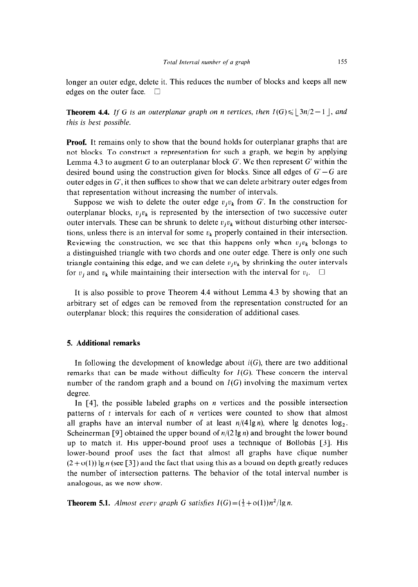longer an outer edge, delete it. This reduces the number of blocks and keeps all new edges on the outer face.  $\square$ 

**Theorem 4.4.** If G is an outerplanar graph on n vertices, then  $I(G) \le |3n/2 - 1|$ , and *this is best possible.* 

**Proof.** It remains only to show that the bound holds for outerplanar graphs that are not blocks. To construct a representation for such a graph, we begin by applying Lemma 4.3 to augment G to an outerplanar block  $G'$ . We then represent  $G'$  within the desired bound using the construction given for blocks. Since all edges of  $G'-G$  are outer edges in G', it then suffices to show that we can delete arbitrary outer edges from that representation without increasing the number of intervals.

Suppose we wish to delete the outer edge  $v_i v_k$  from G'. In the construction for outerplanar blocks,  $v_i v_k$  is represented by the intersection of two successive outer outer intervals. These can be shrunk to delete  $v_jv_k$  without disturbing other intersections, unless there is an interval for some  $v_k$  properly contained in their intersection. Reviewing the construction, we see that this happens only when  $v_jv_k$  belongs to a distinguished triangle with two chords and one outer edge. There is only one such triangle containing this edge, and we can delete  $v_i v_k$  by shrinking the outer intervals for  $v_i$  and  $v_k$  while maintaining their intersection with the interval for  $v_i$ .  $\Box$ 

It is also possible to prove Theorem 4.4 without Lemma 4.3 by showing that an arbitrary set of edges can be removed from the representation constructed for an outerplanar block; this requires the consideration of additional cases.

## **5. Additional remarks**

In following the development of knowledge about *i(G),* there are two additional remarks that can be made without difficulty for  $I(G)$ . These concern the interval number of the random graph and a bound on  $I(G)$  involving the maximum vertex degree.

In [4], the possible labeled graphs on *n* vertices and the possible intersection patterns of  $t$  intervals for each of  $n$  vertices were counted to show that almost all graphs have an interval number of at least  $n/(4 \lg n)$ , where lg denotes  $\log_2$ . Scheinerman [9] obtained the upper bound of  $n/(2 \lg n)$  and brought the lower bound up to match it. His upper-bound proof uses a technique of Bollobás [3]. His lower-bound proof uses the fact that almost all graphs have clique number  $(2+o(1))$  lg *n* (see [3]) and the fact that using this as a bound on depth greatly reduces the number of intersection patterns. The behavior of the total interval number is analogous, as we now show.

**Theorem 5.1.** Almost every graph G satisfies  $I(G) = (\frac{1}{2} + o(1))n^2/\lg n$ .